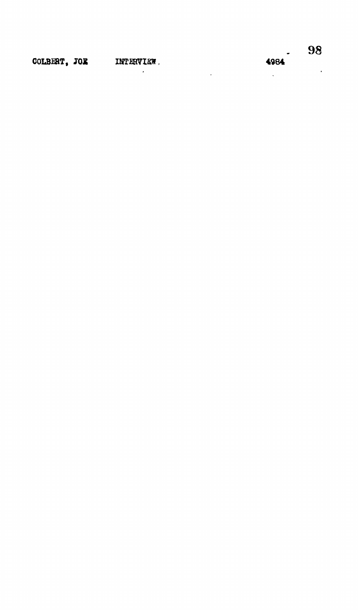|              |            | ₩                        | 98 |  |  |
|--------------|------------|--------------------------|----|--|--|
| COLBERT, JOK | INTERVIEW, | 4984                     |    |  |  |
|              |            | $\overline{\phantom{a}}$ |    |  |  |
|              |            |                          |    |  |  |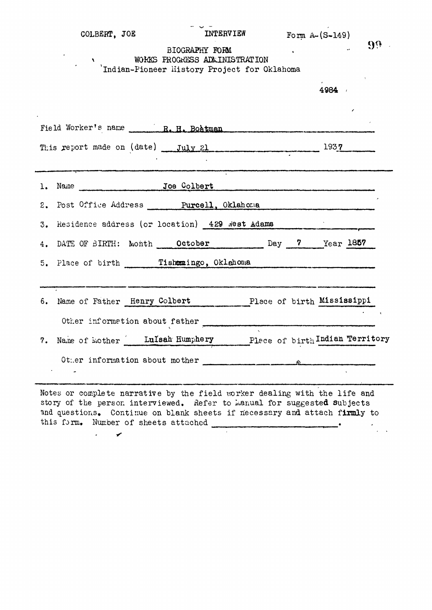| COLBERT, JOE | INTERVIEW Form $A - (S - 149)$ |                                                                                                                                                                                                                                                                                                                                                 |                                                                      |                                                                                                                                                                                                                                                                                                                                                                                                                                             |
|--------------|--------------------------------|-------------------------------------------------------------------------------------------------------------------------------------------------------------------------------------------------------------------------------------------------------------------------------------------------------------------------------------------------|----------------------------------------------------------------------|---------------------------------------------------------------------------------------------------------------------------------------------------------------------------------------------------------------------------------------------------------------------------------------------------------------------------------------------------------------------------------------------------------------------------------------------|
|              |                                |                                                                                                                                                                                                                                                                                                                                                 |                                                                      | $\partial \dot{\boldsymbol{\omega}}$                                                                                                                                                                                                                                                                                                                                                                                                        |
|              |                                |                                                                                                                                                                                                                                                                                                                                                 | 4984                                                                 |                                                                                                                                                                                                                                                                                                                                                                                                                                             |
|              |                                |                                                                                                                                                                                                                                                                                                                                                 |                                                                      |                                                                                                                                                                                                                                                                                                                                                                                                                                             |
|              |                                |                                                                                                                                                                                                                                                                                                                                                 |                                                                      |                                                                                                                                                                                                                                                                                                                                                                                                                                             |
|              |                                |                                                                                                                                                                                                                                                                                                                                                 |                                                                      |                                                                                                                                                                                                                                                                                                                                                                                                                                             |
|              |                                |                                                                                                                                                                                                                                                                                                                                                 |                                                                      |                                                                                                                                                                                                                                                                                                                                                                                                                                             |
|              |                                |                                                                                                                                                                                                                                                                                                                                                 |                                                                      |                                                                                                                                                                                                                                                                                                                                                                                                                                             |
|              |                                |                                                                                                                                                                                                                                                                                                                                                 |                                                                      |                                                                                                                                                                                                                                                                                                                                                                                                                                             |
|              |                                |                                                                                                                                                                                                                                                                                                                                                 |                                                                      |                                                                                                                                                                                                                                                                                                                                                                                                                                             |
|              |                                |                                                                                                                                                                                                                                                                                                                                                 |                                                                      |                                                                                                                                                                                                                                                                                                                                                                                                                                             |
|              |                                |                                                                                                                                                                                                                                                                                                                                                 |                                                                      |                                                                                                                                                                                                                                                                                                                                                                                                                                             |
|              |                                |                                                                                                                                                                                                                                                                                                                                                 |                                                                      |                                                                                                                                                                                                                                                                                                                                                                                                                                             |
|              |                                |                                                                                                                                                                                                                                                                                                                                                 |                                                                      |                                                                                                                                                                                                                                                                                                                                                                                                                                             |
|              |                                |                                                                                                                                                                                                                                                                                                                                                 |                                                                      |                                                                                                                                                                                                                                                                                                                                                                                                                                             |
|              |                                | BIOGRAPHY FORM<br>BIOGRAPHI FORM<br>WORKS PROGRESS ADMINISTRATION<br>5. Place of birth Tishmaingo, Oklahoma<br>.<br>The constitution of the constitution of the constitution of the constitution of the constitution of the constitution of the constitution of the constitution of the constitution of the constitution of the constitution of | <b>Contract Ave</b><br>'Indian-Pioneer liistory Project for Oklahoma | Field Worker's name ______R. H. Boatman<br>This report made on (date) July 21 1937<br>1. Name Joe Colbert Joe Colbert<br>2. Post Office Address Purcell, Oklahoma<br>3. Residence address (or location) 429 west Adams<br>DATE OF BIRTH: Month October Day 7 Year 1857<br>6. Name of Father Henry Colbert Place of birth Mississippi<br>Other information about father<br>7. Name of Mother Luisah Humphery Place of birth Indian Territory |

 $\frac{1}{2}$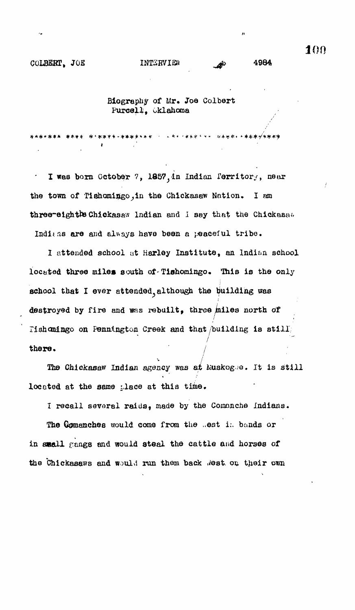Biography of Mr. Joe Colbert Purcell, Oklahoma

\*\*\*\*\*\* \*\*\**\** 

I was born October 7, 1857, in Indian lerritory, near the town of Tishomingo, in the Chickasaw Nation. I am three-eighths Chickasaw Indian and I say that the Chickasa«. Indians are and always have been a peaceful tribe.

I attended school at Harley Institute, an Indian school located three miles south of-Tishomingo. This is the only school that I ever attended although the building was destroyed by fire and was rebuilt, three miles north of Xishaaingo on Pennlngton Creek and that /building is still there.

/ The Chickasaw Indian agency was at Muskoge. It is located at the same place at this time.

I recall several raids, made by the Comonche Indians.

The Gomanches would come from the ..est in bands or in small gangs and would steal the cattle and horses of the Chickaaaws and would run them back .test on their own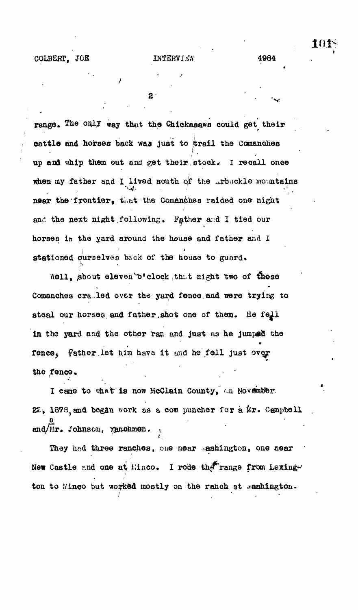2

range. The only way that the Chickasaws could get their cattle and horses back was just to trail the Comanches up and whip them out and get their stock. I recall once when my father and I lived south of the  $\alpha$ rbuckle mountains near the frontier, that the Comanches raided one night and the next night following. Father and I tied our horses in the yard around the house and father and I stationed ourselves back of the house to guard.

Well, shout eleven o'clock that night two of those Comanches cra.led over the yard fence and were trying to steal our horses and father shot one of them. He fell in the yard and the other ram and just as he jumped the fence, father let him have it and he fell just over the fence.

I came to what is now McClain County, on November. 22, 1878 and began work as a cow puncher for a Mr. Campbell and/Mr. Johnson, renchmen.

They had three ranches, one near asshington, one near New Castle and one at Minco. I rode the range from Lexing-' ton to Mingo but worked mostly on the ranch at .ashington.

/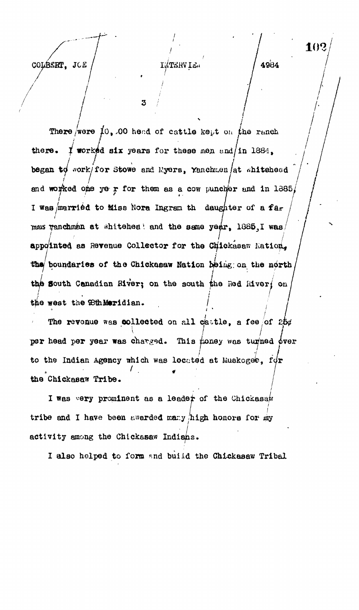COLBERT, JUE

4984

102

There/were  $f_0$ , 00 hend of cattle kept on the ranch there.  $\sharp$  worked six years for these men und/in 1884, **7** *f york/for Stowe and Wyers, Yanchwen* began to work/for Stowe and Myers, Yanchmen/at whiteheed **// ' e** and worked one ye r for them as a cow puncher and in 1385 I was married to Miss Nora Ingram the daughter of a fare  $m$ ous yanchman at whitehea! and the same year,  $1885$ <sub>, I</sub> was,  *inted as Revenue Collector for the Chickesaw Nation*  $\mathcal{L}$ the boundaries of the Chickasaw Nation being; on the north **/ •** *i : ;* the south Canadian River; on the south the Red River, on the west the SthMeridian. **/**

 $\overline{\mathbf{3}}$ 

the westerned were an<sup>11</sup>e The revonue was collected on all cattle, a fee of  $25$ per head per year was chatged. This toney was turned over to the Indian Agency which was located at Muskogee,  $f\phi r$ the Chickasaw Tribe.

I was very prominent as a leader of the Chickasa $\mu$ tribe and I have been awarded many high honors for my activity among the Chickasaw Indians.

I also helped to form and build the Chickasaw Tribal